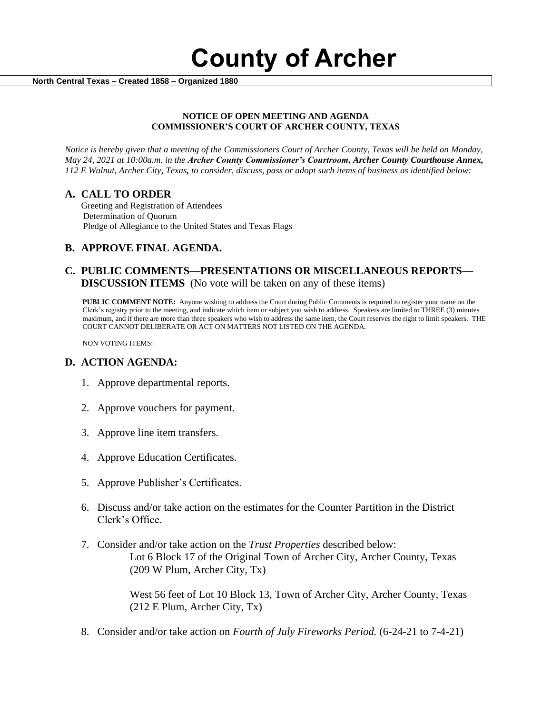**County of Archer** 

 **North Central Texas – Created 1858 – Organized 1880**

#### **NOTICE OF OPEN MEETING AND AGENDA COMMISSIONER'S COURT OF ARCHER COUNTY, TEXAS**

*Notice is hereby given that a meeting of the Commissioners Court of Archer County, Texas will be held on Monday, May 24, 2021 at 10:00a.m. in the Archer County Commissioner's Courtroom, Archer County Courthouse Annex, 112 E Walnut, Archer City, Texas, to consider, discuss, pass or adopt such items of business as identified below:*

#### **A. CALL TO ORDER**

 Greeting and Registration of Attendees Determination of Quorum Pledge of Allegiance to the United States and Texas Flags

# **B. APPROVE FINAL AGENDA.**

# **C. PUBLIC COMMENTS—PRESENTATIONS OR MISCELLANEOUS REPORTS— DISCUSSION ITEMS** (No vote will be taken on any of these items)

**PUBLIC COMMENT NOTE:** Anyone wishing to address the Court during Public Comments is required to register your name on the Clerk's registry prior to the meeting, and indicate which item or subject you wish to address. Speakers are limited to THREE (3) minutes maximum, and if there are more than three speakers who wish to address the same item, the Court reserves the right to limit speakers. THE COURT CANNOT DELIBERATE OR ACT ON MATTERS NOT LISTED ON THE AGENDA.

NON VOTING ITEMS:

### **D. ACTION AGENDA:**

- 1. Approve departmental reports.
- 2. Approve vouchers for payment.
- 3. Approve line item transfers.
- 4. Approve Education Certificates.
- 5. Approve Publisher's Certificates.
- 6. Discuss and/or take action on the estimates for the Counter Partition in the District Clerk's Office.
- 7. Consider and/or take action on the *Trust Properties* described below: Lot 6 Block 17 of the Original Town of Archer City, Archer County, Texas (209 W Plum, Archer City, Tx)

West 56 feet of Lot 10 Block 13, Town of Archer City, Archer County, Texas (212 E Plum, Archer City, Tx)

8. Consider and/or take action on *Fourth of July Fireworks Period.* (6-24-21 to 7-4-21)